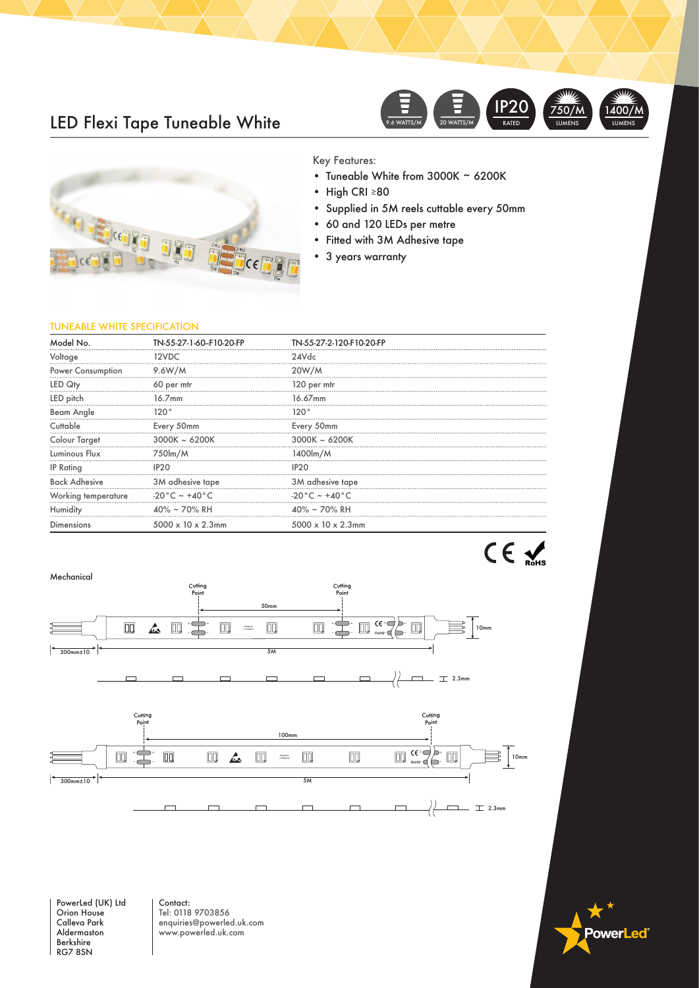## LED Flexi Tape Tuneable White





Key Features:

- Tuneable White from 3000K ~ 6200K
- High CRI ≥80
- Supplied in 5M reels cuttable every 50mm
- 60 and 120 LEDs per metre
- Fitted with 3M Adhesive tape
- 3 years warranty

### TUNEABLE WHITE SPECIFICATION

| Model No.            | TN-55-27-1-60-F10-20-FP        | TN-55-27-2-120-F10-20-FP         |
|----------------------|--------------------------------|----------------------------------|
| Voltage              | 12VDC                          | 24Vdc                            |
| Power Consumption    | 9.6W/M                         | 20W/M                            |
| LED Qty              | 60 per mtr                     | 120 per mtr                      |
| LED pitch            | 16.7mm                         | 16.67mm                          |
| Beam Angle           | 120°                           | 120°                             |
| Cuttable             | Every 50mm                     | Every 50mm                       |
| <b>Colour Target</b> | $3000K \sim 6200K$             | $3000K \sim 6200K$               |
| Luminous Flux        | 750lm/M                        | 1400lm/M                         |
| <b>IP Rating</b>     |                                |                                  |
| <b>Back Adhesive</b> | 3M adhesive tape               | 3M adhesive tape                 |
| Working temperature  | -20°C ~ +40°C                  | $-20\degree C$ ~ +40 $\degree C$ |
| Humidity             | 40% ~ 70% RH                   | 40% ~ 70% RH                     |
| Dimensions           | $5000 \times 10 \times 2.3$ mm | $5000 \times 10 \times 2.3$ mm   |



PowerLed (UK) Ltd Orion House Calleva Park Aldermaston Berkshire RG7 8SN

Contact: Tel: 0118 9703856 enquiries@powerled.uk.com www.powerled.uk.com